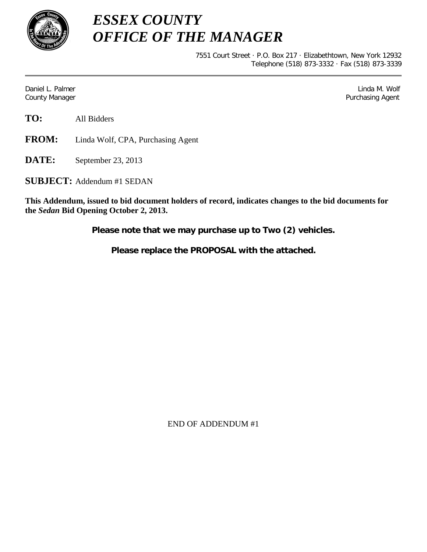

*ESSEX COUNTY OFFICE OF THE MANAGER*

> 7551 Court Street · P.O. Box 217 · Elizabethtown, New York 12932 Telephone (518) 873-3332 · Fax (518) 873-3339

Daniel L. Palmer Later and the control of the control of the control of the control of the control of the control of the control of the control of the control of the control of the control of the control of the control of County Manager Purchasing Agent

**TO:** All Bidders

**FROM:** Linda Wolf, CPA, Purchasing Agent

**DATE:** September 23, 2013

**SUBJECT:** Addendum #1 SEDAN

**This Addendum, issued to bid document holders of record, indicates changes to the bid documents for the** *Sedan* **Bid Opening October 2, 2013.**

**Please note that we may purchase up to Two (2) vehicles.**

**Please replace the PROPOSAL with the attached.**

END OF ADDENDUM #1